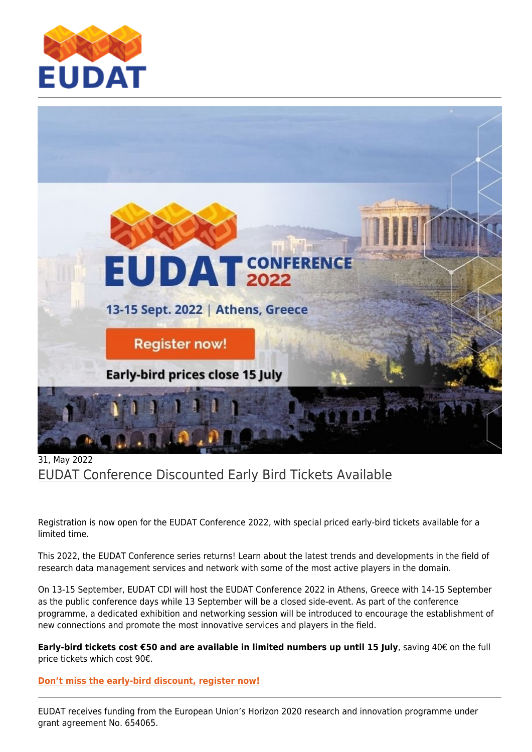



## 31, May 2022 [EUDAT Conference Discounted Early Bird Tickets Available](https://eudat.eu/news/eudat-conference-discounted-early-bird-tickets-available)

Registration is now open for the EUDAT Conference 2022, with special priced early-bird tickets available for a limited time.

This 2022, the EUDAT Conference series returns! Learn about the latest trends and developments in the field of research data management services and network with some of the most active players in the domain.

On 13-15 September, EUDAT CDI will host the EUDAT Conference 2022 in Athens, Greece with 14-15 September as the public conference days while 13 September will be a closed side-event. As part of the conference programme, a dedicated exhibition and networking session will be introduced to encourage the establishment of new connections and promote the most innovative services and players in the field.

**Early-bird tickets cost €50 and are available in limited numbers up until 15 July**, saving 40€ on the full price tickets which cost 90€.

**[Don't miss the early-bird discount, register now!](https://www.eventbrite.co.uk/e/eudat-conference-2022-registration-347861381757)**

EUDAT receives funding from the European Union's Horizon 2020 research and innovation programme under grant agreement No. 654065.